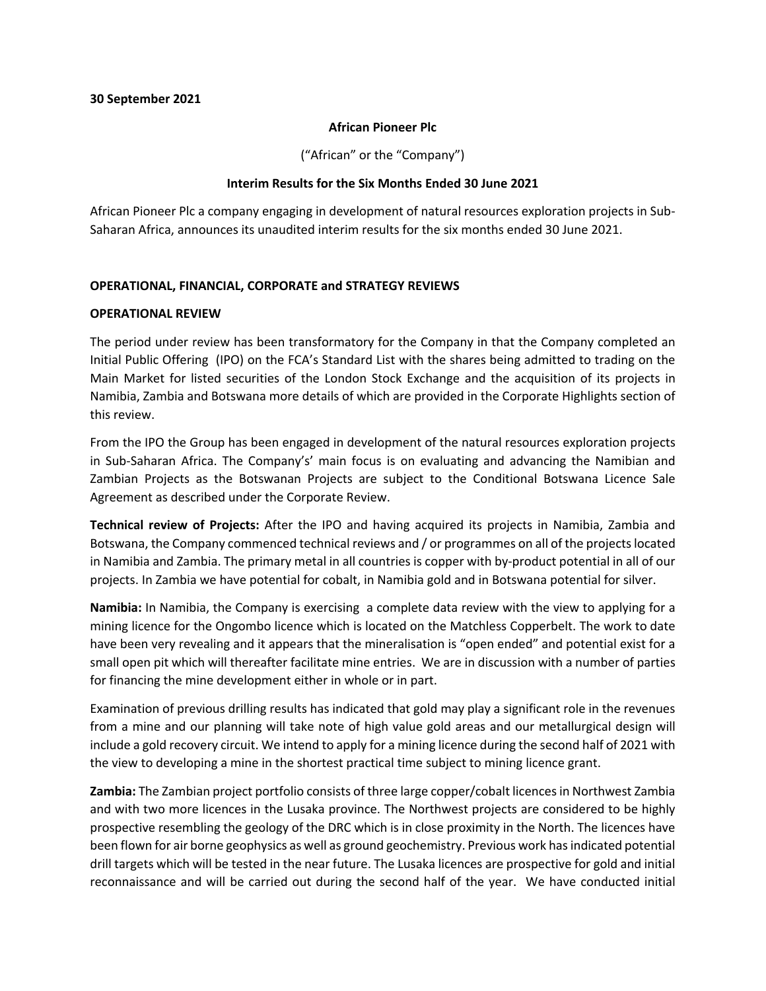#### **African Pioneer Plc**

("African" or the "Company")

### **Interim Results for the Six Months Ended 30 June 2021**

African Pioneer Plc a company engaging in development of natural resources exploration projects in Sub-Saharan Africa, announces its unaudited interim results for the six months ended 30 June 2021.

## **OPERATIONAL, FINANCIAL, CORPORATE and STRATEGY REVIEWS**

### **OPERATIONAL REVIEW**

The period under review has been transformatory for the Company in that the Company completed an Initial Public Offering (IPO) on the FCA's Standard List with the shares being admitted to trading on the Main Market for listed securities of the London Stock Exchange and the acquisition of its projects in Namibia, Zambia and Botswana more details of which are provided in the Corporate Highlights section of this review.

From the IPO the Group has been engaged in development of the natural resources exploration projects in Sub-Saharan Africa. The Company's' main focus is on evaluating and advancing the Namibian and Zambian Projects as the Botswanan Projects are subject to the Conditional Botswana Licence Sale Agreement as described under the Corporate Review.

**Technical review of Projects:** After the IPO and having acquired its projects in Namibia, Zambia and Botswana, the Company commenced technical reviews and / or programmes on all of the projects located in Namibia and Zambia. The primary metal in all countries is copper with by-product potential in all of our projects. In Zambia we have potential for cobalt, in Namibia gold and in Botswana potential for silver.

**Namibia:** In Namibia, the Company is exercising a complete data review with the view to applying for a mining licence for the Ongombo licence which is located on the Matchless Copperbelt. The work to date have been very revealing and it appears that the mineralisation is "open ended" and potential exist for a small open pit which will thereafter facilitate mine entries. We are in discussion with a number of parties for financing the mine development either in whole or in part.

Examination of previous drilling results has indicated that gold may play a significant role in the revenues from a mine and our planning will take note of high value gold areas and our metallurgical design will include a gold recovery circuit. We intend to apply for a mining licence during the second half of 2021 with the view to developing a mine in the shortest practical time subject to mining licence grant.

**Zambia:** The Zambian project portfolio consists of three large copper/cobalt licences in Northwest Zambia and with two more licences in the Lusaka province. The Northwest projects are considered to be highly prospective resembling the geology of the DRC which is in close proximity in the North. The licences have been flown for air borne geophysics as well as ground geochemistry. Previous work has indicated potential drill targets which will be tested in the near future. The Lusaka licences are prospective for gold and initial reconnaissance and will be carried out during the second half of the year. We have conducted initial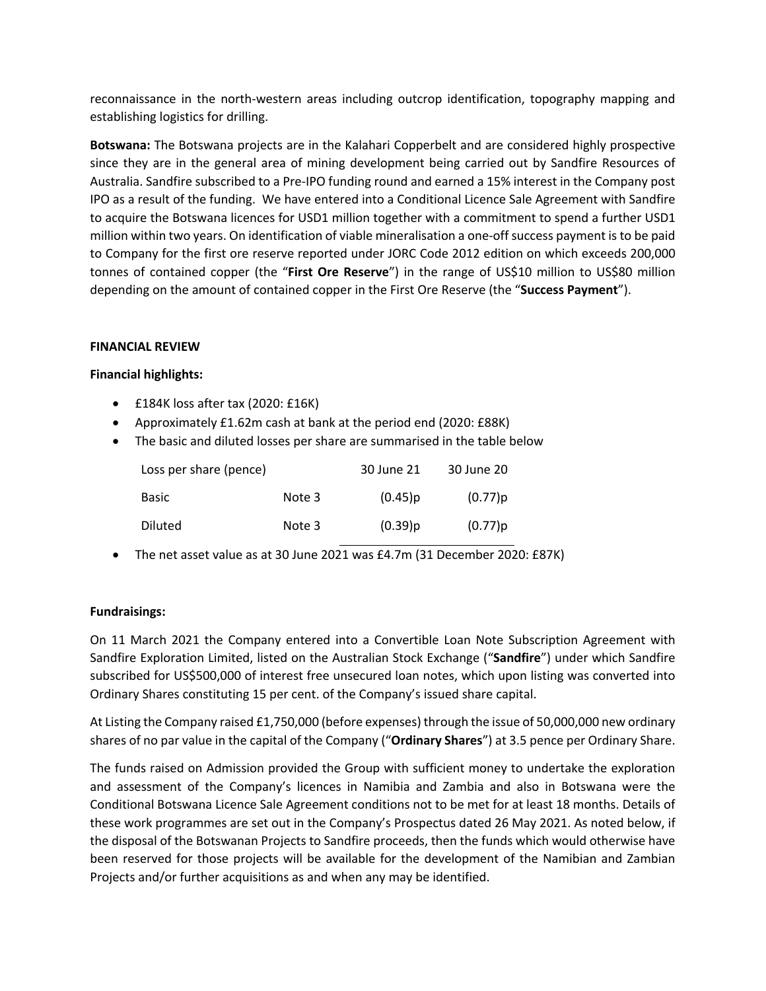reconnaissance in the north-western areas including outcrop identification, topography mapping and establishing logistics for drilling.

**Botswana:** The Botswana projects are in the Kalahari Copperbelt and are considered highly prospective since they are in the general area of mining development being carried out by Sandfire Resources of Australia. Sandfire subscribed to a Pre-IPO funding round and earned a 15% interest in the Company post IPO as a result of the funding. We have entered into a Conditional Licence Sale Agreement with Sandfire to acquire the Botswana licences for USD1 million together with a commitment to spend a further USD1 million within two years. On identification of viable mineralisation a one-off success payment is to be paid to Company for the first ore reserve reported under JORC Code 2012 edition on which exceeds 200,000 tonnes of contained copper (the "**First Ore Reserve**") in the range of US\$10 million to US\$80 million depending on the amount of contained copper in the First Ore Reserve (the "**Success Payment**").

### **FINANCIAL REVIEW**

### **Financial highlights:**

- £184K loss after tax (2020: £16K)
- Approximately £1.62m cash at bank at the period end (2020: £88K)
- The basic and diluted losses per share are summarised in the table below

| Loss per share (pence) |        | 30 June 21 | 30 June 20 |
|------------------------|--------|------------|------------|
| Basic                  | Note 3 | (0.45)p    | (0.77)p    |
| <b>Diluted</b>         | Note 3 | (0.39)p    | (0.77)p    |

• The net asset value as at 30 June 2021 was £4.7m (31 December 2020: £87K)

## **Fundraisings:**

On 11 March 2021 the Company entered into a Convertible Loan Note Subscription Agreement with Sandfire Exploration Limited, listed on the Australian Stock Exchange ("**Sandfire**") under which Sandfire subscribed for US\$500,000 of interest free unsecured loan notes, which upon listing was converted into Ordinary Shares constituting 15 per cent. of the Company's issued share capital.

At Listing the Company raised £1,750,000 (before expenses) through the issue of 50,000,000 new ordinary shares of no par value in the capital of the Company ("**Ordinary Shares**") at 3.5 pence per Ordinary Share.

The funds raised on Admission provided the Group with sufficient money to undertake the exploration and assessment of the Company's licences in Namibia and Zambia and also in Botswana were the Conditional Botswana Licence Sale Agreement conditions not to be met for at least 18 months. Details of these work programmes are set out in the Company's Prospectus dated 26 May 2021. As noted below, if the disposal of the Botswanan Projects to Sandfire proceeds, then the funds which would otherwise have been reserved for those projects will be available for the development of the Namibian and Zambian Projects and/or further acquisitions as and when any may be identified.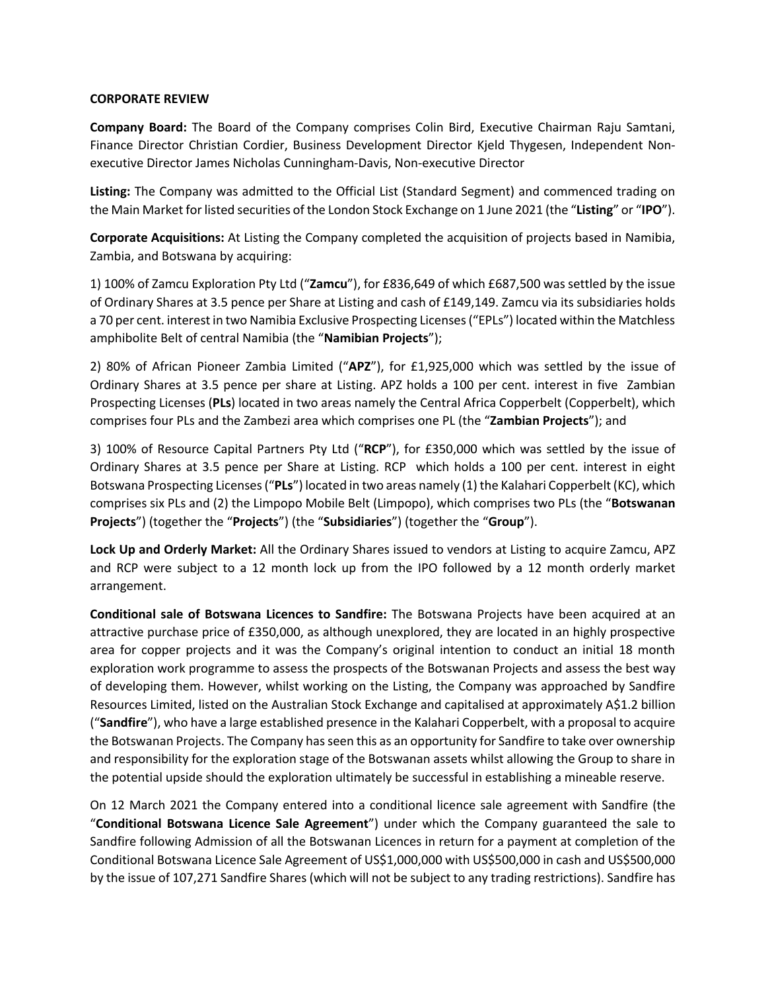### **CORPORATE REVIEW**

**Company Board:** The Board of the Company comprises Colin Bird, Executive Chairman Raju Samtani, Finance Director Christian Cordier, Business Development Director Kjeld Thygesen, Independent Nonexecutive Director James Nicholas Cunningham-Davis, Non-executive Director

**Listing:** The Company was admitted to the Official List (Standard Segment) and commenced trading on the Main Market for listed securities of the London Stock Exchange on 1 June 2021 (the "**Listing**" or "**IPO**").

**Corporate Acquisitions:** At Listing the Company completed the acquisition of projects based in Namibia, Zambia, and Botswana by acquiring:

1) 100% of Zamcu Exploration Pty Ltd ("**Zamcu**"), for £836,649 of which £687,500 was settled by the issue of Ordinary Shares at 3.5 pence per Share at Listing and cash of £149,149. Zamcu via its subsidiaries holds a 70 per cent. interest in two Namibia Exclusive Prospecting Licenses ("EPLs") located within the Matchless amphibolite Belt of central Namibia (the "**Namibian Projects**");

2) 80% of African Pioneer Zambia Limited ("**APZ**"), for £1,925,000 which was settled by the issue of Ordinary Shares at 3.5 pence per share at Listing. APZ holds a 100 per cent. interest in five Zambian Prospecting Licenses (**PLs**) located in two areas namely the Central Africa Copperbelt (Copperbelt), which comprises four PLs and the Zambezi area which comprises one PL (the "**Zambian Projects**"); and

3) 100% of Resource Capital Partners Pty Ltd ("**RCP**"), for £350,000 which was settled by the issue of Ordinary Shares at 3.5 pence per Share at Listing. RCP which holds a 100 per cent. interest in eight Botswana Prospecting Licenses ("**PLs**") located in two areas namely (1) the Kalahari Copperbelt (KC), which comprises six PLs and (2) the Limpopo Mobile Belt (Limpopo), which comprises two PLs (the "**Botswanan Projects**") (together the "**Projects**") (the "**Subsidiaries**") (together the "**Group**").

**Lock Up and Orderly Market:** All the Ordinary Shares issued to vendors at Listing to acquire Zamcu, APZ and RCP were subject to a 12 month lock up from the IPO followed by a 12 month orderly market arrangement.

**Conditional sale of Botswana Licences to Sandfire:** The Botswana Projects have been acquired at an attractive purchase price of £350,000, as although unexplored, they are located in an highly prospective area for copper projects and it was the Company's original intention to conduct an initial 18 month exploration work programme to assess the prospects of the Botswanan Projects and assess the best way of developing them. However, whilst working on the Listing, the Company was approached by Sandfire Resources Limited, listed on the Australian Stock Exchange and capitalised at approximately A\$1.2 billion ("**Sandfire**"), who have a large established presence in the Kalahari Copperbelt, with a proposal to acquire the Botswanan Projects. The Company has seen this as an opportunity for Sandfire to take over ownership and responsibility for the exploration stage of the Botswanan assets whilst allowing the Group to share in the potential upside should the exploration ultimately be successful in establishing a mineable reserve.

On 12 March 2021 the Company entered into a conditional licence sale agreement with Sandfire (the "**Conditional Botswana Licence Sale Agreement**") under which the Company guaranteed the sale to Sandfire following Admission of all the Botswanan Licences in return for a payment at completion of the Conditional Botswana Licence Sale Agreement of US\$1,000,000 with US\$500,000 in cash and US\$500,000 by the issue of 107,271 Sandfire Shares (which will not be subject to any trading restrictions). Sandfire has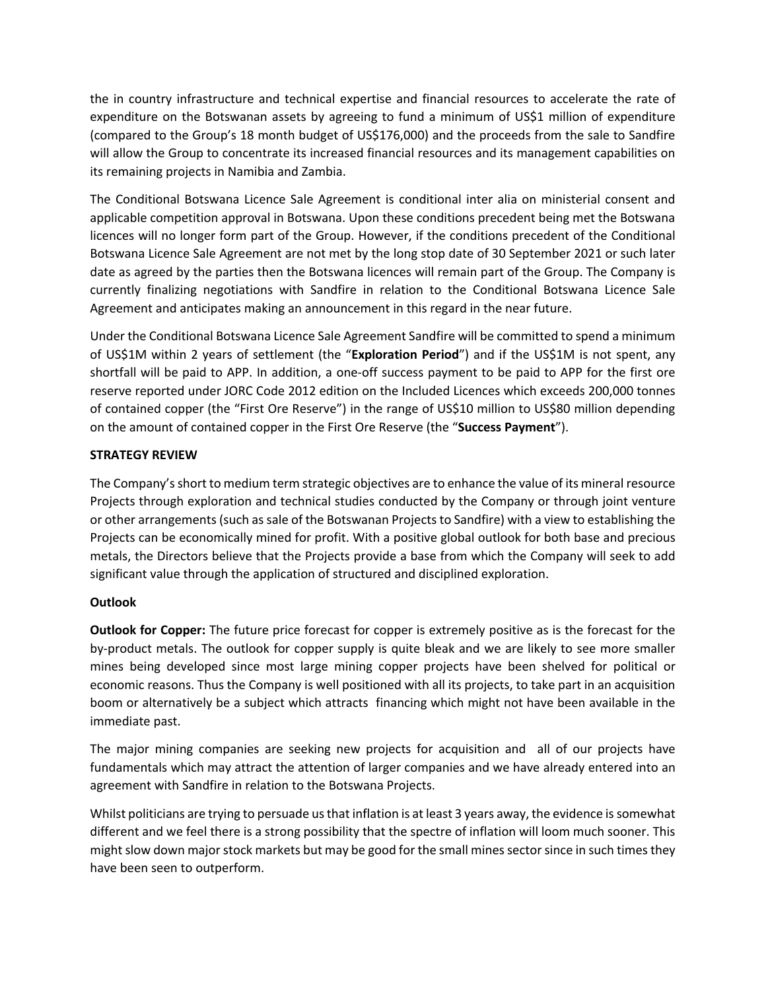the in country infrastructure and technical expertise and financial resources to accelerate the rate of expenditure on the Botswanan assets by agreeing to fund a minimum of US\$1 million of expenditure (compared to the Group's 18 month budget of US\$176,000) and the proceeds from the sale to Sandfire will allow the Group to concentrate its increased financial resources and its management capabilities on its remaining projects in Namibia and Zambia.

The Conditional Botswana Licence Sale Agreement is conditional inter alia on ministerial consent and applicable competition approval in Botswana. Upon these conditions precedent being met the Botswana licences will no longer form part of the Group. However, if the conditions precedent of the Conditional Botswana Licence Sale Agreement are not met by the long stop date of 30 September 2021 or such later date as agreed by the parties then the Botswana licences will remain part of the Group. The Company is currently finalizing negotiations with Sandfire in relation to the Conditional Botswana Licence Sale Agreement and anticipates making an announcement in this regard in the near future.

Under the Conditional Botswana Licence Sale Agreement Sandfire will be committed to spend a minimum of US\$1M within 2 years of settlement (the "**Exploration Period**") and if the US\$1M is not spent, any shortfall will be paid to APP. In addition, a one-off success payment to be paid to APP for the first ore reserve reported under JORC Code 2012 edition on the Included Licences which exceeds 200,000 tonnes of contained copper (the "First Ore Reserve") in the range of US\$10 million to US\$80 million depending on the amount of contained copper in the First Ore Reserve (the "**Success Payment**").

# **STRATEGY REVIEW**

The Company's short to medium term strategic objectives are to enhance the value of its mineral resource Projects through exploration and technical studies conducted by the Company or through joint venture or other arrangements (such as sale of the Botswanan Projects to Sandfire) with a view to establishing the Projects can be economically mined for profit. With a positive global outlook for both base and precious metals, the Directors believe that the Projects provide a base from which the Company will seek to add significant value through the application of structured and disciplined exploration.

## **Outlook**

**Outlook for Copper:** The future price forecast for copper is extremely positive as is the forecast for the by-product metals. The outlook for copper supply is quite bleak and we are likely to see more smaller mines being developed since most large mining copper projects have been shelved for political or economic reasons. Thus the Company is well positioned with all its projects, to take part in an acquisition boom or alternatively be a subject which attracts financing which might not have been available in the immediate past.

The major mining companies are seeking new projects for acquisition and all of our projects have fundamentals which may attract the attention of larger companies and we have already entered into an agreement with Sandfire in relation to the Botswana Projects.

Whilst politicians are trying to persuade us that inflation is at least 3 years away, the evidence is somewhat different and we feel there is a strong possibility that the spectre of inflation will loom much sooner. This might slow down major stock markets but may be good for the small mines sector since in such times they have been seen to outperform.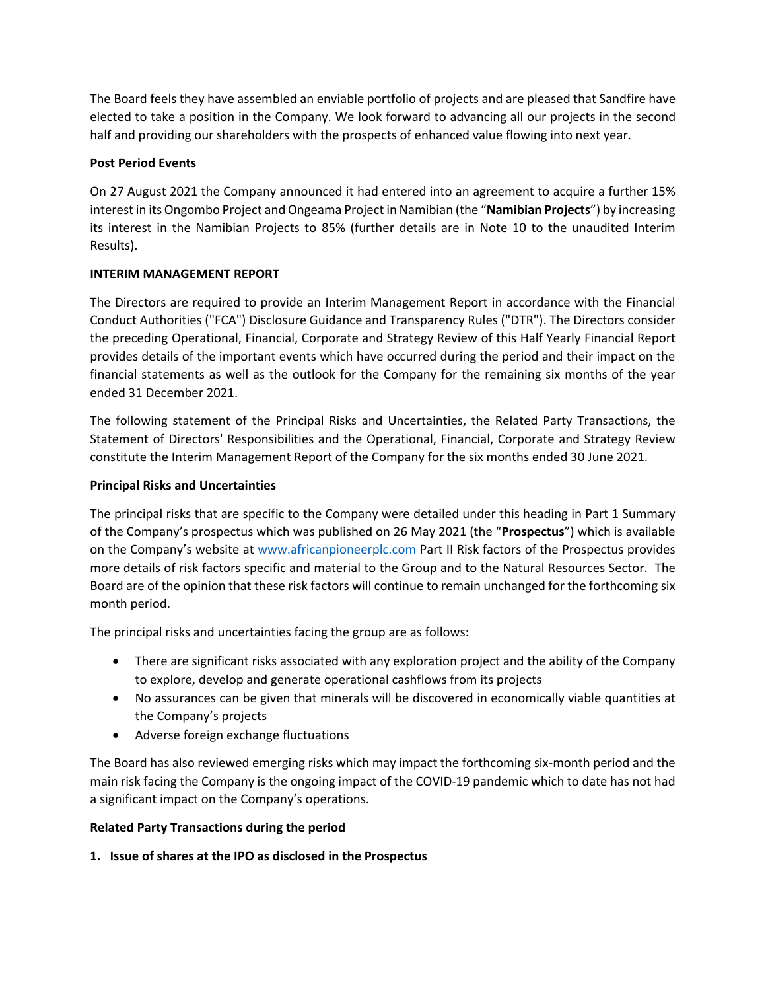The Board feels they have assembled an enviable portfolio of projects and are pleased that Sandfire have elected to take a position in the Company. We look forward to advancing all our projects in the second half and providing our shareholders with the prospects of enhanced value flowing into next year.

# **Post Period Events**

On 27 August 2021 the Company announced it had entered into an agreement to acquire a further 15% interest in its Ongombo Project and Ongeama Project in Namibian (the "**Namibian Projects**") by increasing its interest in the Namibian Projects to 85% (further details are in Note 10 to the unaudited Interim Results).

# **INTERIM MANAGEMENT REPORT**

The Directors are required to provide an Interim Management Report in accordance with the Financial Conduct Authorities ("FCA") Disclosure Guidance and Transparency Rules ("DTR"). The Directors consider the preceding Operational, Financial, Corporate and Strategy Review of this Half Yearly Financial Report provides details of the important events which have occurred during the period and their impact on the financial statements as well as the outlook for the Company for the remaining six months of the year ended 31 December 2021.

The following statement of the Principal Risks and Uncertainties, the Related Party Transactions, the Statement of Directors' Responsibilities and the Operational, Financial, Corporate and Strategy Review constitute the Interim Management Report of the Company for the six months ended 30 June 2021.

# **Principal Risks and Uncertainties**

The principal risks that are specific to the Company were detailed under this heading in Part 1 Summary of the Company's prospectus which was published on 26 May 2021 (the "**Prospectus**") which is available on the Company's website at www.africanpioneerplc.com Part II Risk factors of the Prospectus provides more details of risk factors specific and material to the Group and to the Natural Resources Sector. The Board are of the opinion that these risk factors will continue to remain unchanged for the forthcoming six month period.

The principal risks and uncertainties facing the group are as follows:

- There are significant risks associated with any exploration project and the ability of the Company to explore, develop and generate operational cashflows from its projects
- No assurances can be given that minerals will be discovered in economically viable quantities at the Company's projects
- Adverse foreign exchange fluctuations

The Board has also reviewed emerging risks which may impact the forthcoming six-month period and the main risk facing the Company is the ongoing impact of the COVID-19 pandemic which to date has not had a significant impact on the Company's operations.

## **Related Party Transactions during the period**

# **1. Issue of shares at the IPO as disclosed in the Prospectus**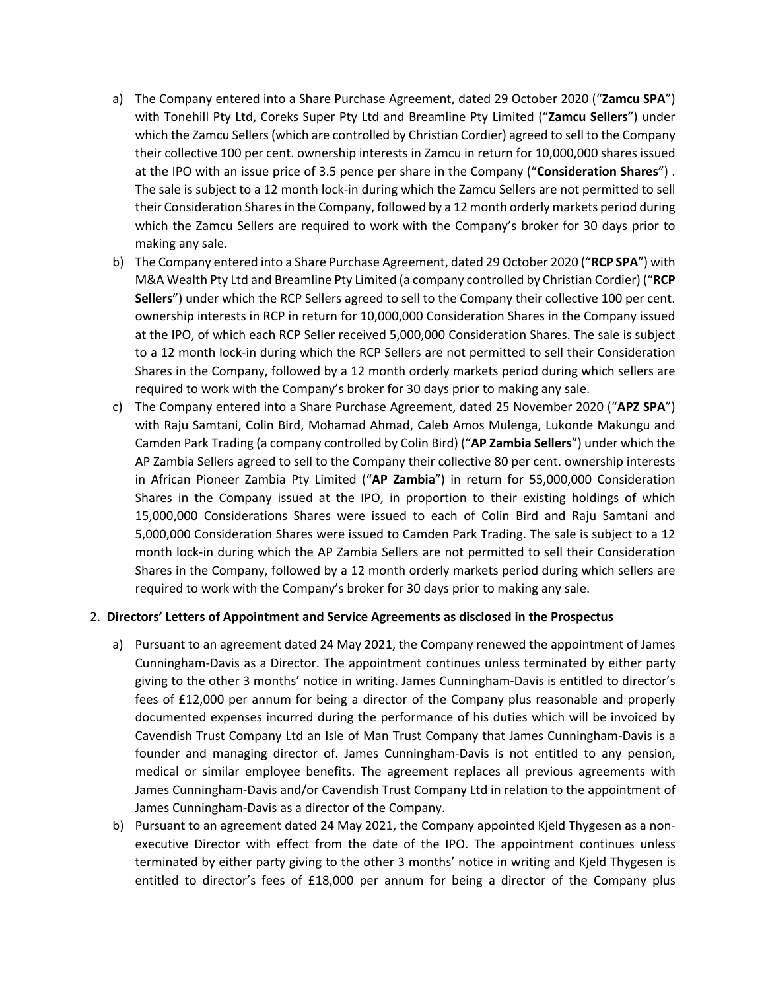- a) The Company entered into a Share Purchase Agreement, dated 29 October 2020 ("**Zamcu SPA**") with Tonehill Pty Ltd, Coreks Super Pty Ltd and Breamline Pty Limited ("**Zamcu Sellers**") under which the Zamcu Sellers (which are controlled by Christian Cordier) agreed to sell to the Company their collective 100 per cent. ownership interests in Zamcu in return for 10,000,000 shares issued at the IPO with an issue price of 3.5 pence per share in the Company ("**Consideration Shares**") . The sale is subject to a 12 month lock-in during which the Zamcu Sellers are not permitted to sell their Consideration Shares in the Company, followed by a 12 month orderly markets period during which the Zamcu Sellers are required to work with the Company's broker for 30 days prior to making any sale.
- b) The Company entered into a Share Purchase Agreement, dated 29 October 2020 ("**RCP SPA**") with M&A Wealth Pty Ltd and Breamline Pty Limited (a company controlled by Christian Cordier) ("**RCP Sellers**") under which the RCP Sellers agreed to sell to the Company their collective 100 per cent. ownership interests in RCP in return for 10,000,000 Consideration Shares in the Company issued at the IPO, of which each RCP Seller received 5,000,000 Consideration Shares. The sale is subject to a 12 month lock-in during which the RCP Sellers are not permitted to sell their Consideration Shares in the Company, followed by a 12 month orderly markets period during which sellers are required to work with the Company's broker for 30 days prior to making any sale.
- c) The Company entered into a Share Purchase Agreement, dated 25 November 2020 ("**APZ SPA**") with Raju Samtani, Colin Bird, Mohamad Ahmad, Caleb Amos Mulenga, Lukonde Makungu and Camden Park Trading (a company controlled by Colin Bird) ("**AP Zambia Sellers**") under which the AP Zambia Sellers agreed to sell to the Company their collective 80 per cent. ownership interests in African Pioneer Zambia Pty Limited ("**AP Zambia**") in return for 55,000,000 Consideration Shares in the Company issued at the IPO, in proportion to their existing holdings of which 15,000,000 Considerations Shares were issued to each of Colin Bird and Raju Samtani and 5,000,000 Consideration Shares were issued to Camden Park Trading. The sale is subject to a 12 month lock-in during which the AP Zambia Sellers are not permitted to sell their Consideration Shares in the Company, followed by a 12 month orderly markets period during which sellers are required to work with the Company's broker for 30 days prior to making any sale.

## 2. **Directors' Letters of Appointment and Service Agreements as disclosed in the Prospectus**

- a) Pursuant to an agreement dated 24 May 2021, the Company renewed the appointment of James Cunningham-Davis as a Director. The appointment continues unless terminated by either party giving to the other 3 months' notice in writing. James Cunningham-Davis is entitled to director's fees of £12,000 per annum for being a director of the Company plus reasonable and properly documented expenses incurred during the performance of his duties which will be invoiced by Cavendish Trust Company Ltd an Isle of Man Trust Company that James Cunningham-Davis is a founder and managing director of. James Cunningham-Davis is not entitled to any pension, medical or similar employee benefits. The agreement replaces all previous agreements with James Cunningham-Davis and/or Cavendish Trust Company Ltd in relation to the appointment of James Cunningham-Davis as a director of the Company.
- b) Pursuant to an agreement dated 24 May 2021, the Company appointed Kjeld Thygesen as a nonexecutive Director with effect from the date of the IPO. The appointment continues unless terminated by either party giving to the other 3 months' notice in writing and Kjeld Thygesen is entitled to director's fees of £18,000 per annum for being a director of the Company plus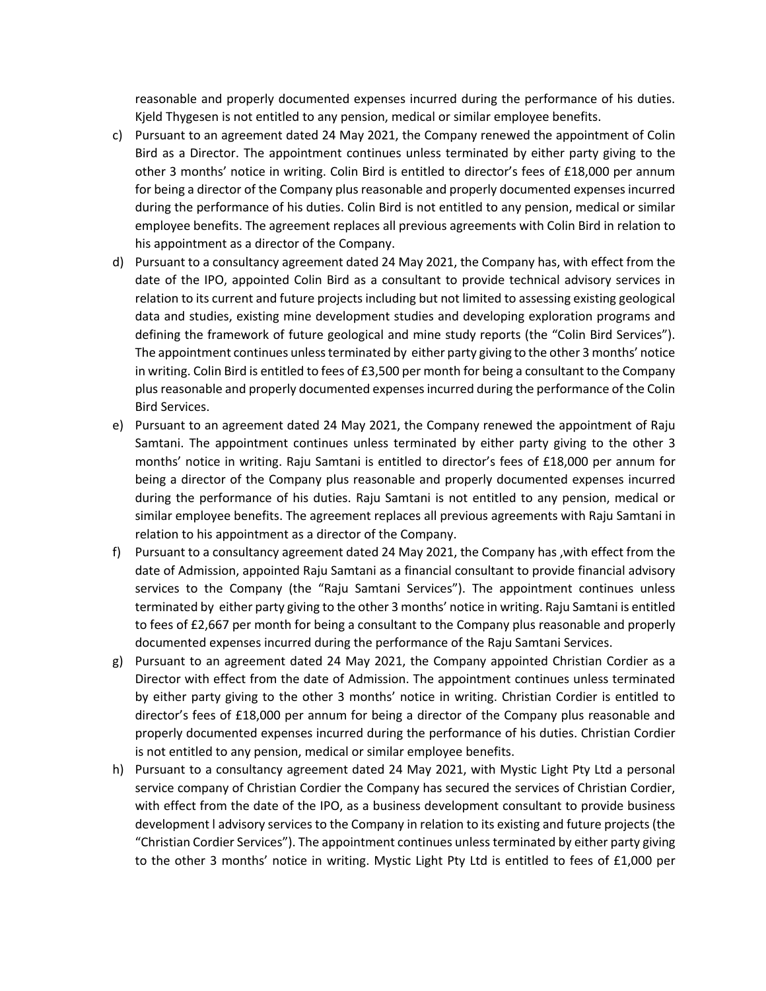reasonable and properly documented expenses incurred during the performance of his duties. Kjeld Thygesen is not entitled to any pension, medical or similar employee benefits.

- c) Pursuant to an agreement dated 24 May 2021, the Company renewed the appointment of Colin Bird as a Director. The appointment continues unless terminated by either party giving to the other 3 months' notice in writing. Colin Bird is entitled to director's fees of £18,000 per annum for being a director of the Company plus reasonable and properly documented expenses incurred during the performance of his duties. Colin Bird is not entitled to any pension, medical or similar employee benefits. The agreement replaces all previous agreements with Colin Bird in relation to his appointment as a director of the Company.
- d) Pursuant to a consultancy agreement dated 24 May 2021, the Company has, with effect from the date of the IPO, appointed Colin Bird as a consultant to provide technical advisory services in relation to its current and future projects including but not limited to assessing existing geological data and studies, existing mine development studies and developing exploration programs and defining the framework of future geological and mine study reports (the "Colin Bird Services"). The appointment continues unless terminated by either party giving to the other 3 months' notice in writing. Colin Bird is entitled to fees of £3,500 per month for being a consultant to the Company plus reasonable and properly documented expenses incurred during the performance of the Colin Bird Services.
- e) Pursuant to an agreement dated 24 May 2021, the Company renewed the appointment of Raju Samtani. The appointment continues unless terminated by either party giving to the other 3 months' notice in writing. Raju Samtani is entitled to director's fees of £18,000 per annum for being a director of the Company plus reasonable and properly documented expenses incurred during the performance of his duties. Raju Samtani is not entitled to any pension, medical or similar employee benefits. The agreement replaces all previous agreements with Raju Samtani in relation to his appointment as a director of the Company.
- f) Pursuant to a consultancy agreement dated 24 May 2021, the Company has ,with effect from the date of Admission, appointed Raju Samtani as a financial consultant to provide financial advisory services to the Company (the "Raju Samtani Services"). The appointment continues unless terminated by either party giving to the other 3 months' notice in writing. Raju Samtani is entitled to fees of £2,667 per month for being a consultant to the Company plus reasonable and properly documented expenses incurred during the performance of the Raju Samtani Services.
- g) Pursuant to an agreement dated 24 May 2021, the Company appointed Christian Cordier as a Director with effect from the date of Admission. The appointment continues unless terminated by either party giving to the other 3 months' notice in writing. Christian Cordier is entitled to director's fees of £18,000 per annum for being a director of the Company plus reasonable and properly documented expenses incurred during the performance of his duties. Christian Cordier is not entitled to any pension, medical or similar employee benefits.
- h) Pursuant to a consultancy agreement dated 24 May 2021, with Mystic Light Pty Ltd a personal service company of Christian Cordier the Company has secured the services of Christian Cordier, with effect from the date of the IPO, as a business development consultant to provide business development l advisory services to the Company in relation to its existing and future projects (the "Christian Cordier Services"). The appointment continues unless terminated by either party giving to the other 3 months' notice in writing. Mystic Light Pty Ltd is entitled to fees of £1,000 per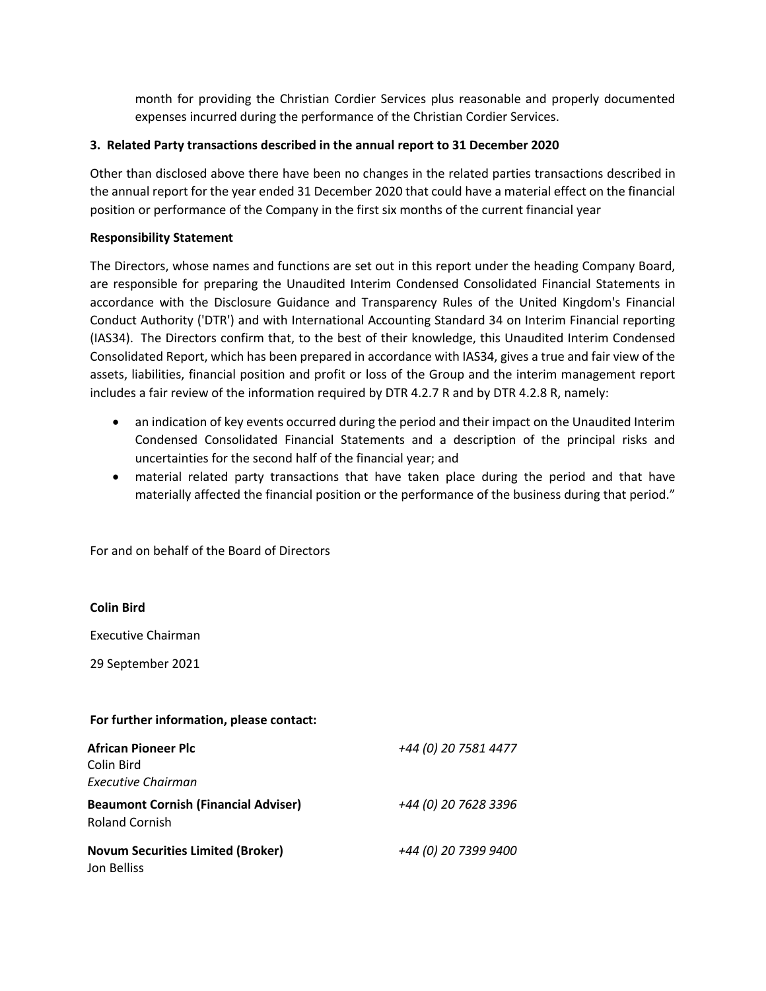month for providing the Christian Cordier Services plus reasonable and properly documented expenses incurred during the performance of the Christian Cordier Services.

## **3. Related Party transactions described in the annual report to 31 December 2020**

Other than disclosed above there have been no changes in the related parties transactions described in the annual report for the year ended 31 December 2020 that could have a material effect on the financial position or performance of the Company in the first six months of the current financial year

## **Responsibility Statement**

The Directors, whose names and functions are set out in this report under the heading Company Board, are responsible for preparing the Unaudited Interim Condensed Consolidated Financial Statements in accordance with the Disclosure Guidance and Transparency Rules of the United Kingdom's Financial Conduct Authority ('DTR') and with International Accounting Standard 34 on Interim Financial reporting (IAS34). The Directors confirm that, to the best of their knowledge, this Unaudited Interim Condensed Consolidated Report, which has been prepared in accordance with IAS34, gives a true and fair view of the assets, liabilities, financial position and profit or loss of the Group and the interim management report includes a fair review of the information required by DTR 4.2.7 R and by DTR 4.2.8 R, namely:

- an indication of key events occurred during the period and their impact on the Unaudited Interim Condensed Consolidated Financial Statements and a description of the principal risks and uncertainties for the second half of the financial year; and
- material related party transactions that have taken place during the period and that have materially affected the financial position or the performance of the business during that period."

| For further information, please contact:                              |                      |
|-----------------------------------------------------------------------|----------------------|
| <b>African Pioneer Plc</b><br>Colin Bird<br><b>Executive Chairman</b> | +44 (0) 20 7581 4477 |
| <b>Beaumont Cornish (Financial Adviser)</b><br><b>Roland Cornish</b>  | +44 (0) 20 7628 3396 |
| <b>Novum Securities Limited (Broker)</b><br>Jon Belliss               | +44 (0) 20 7399 9400 |

For and on behalf of the Board of Directors

**Colin Bird**

Executive Chairman

29 September 2021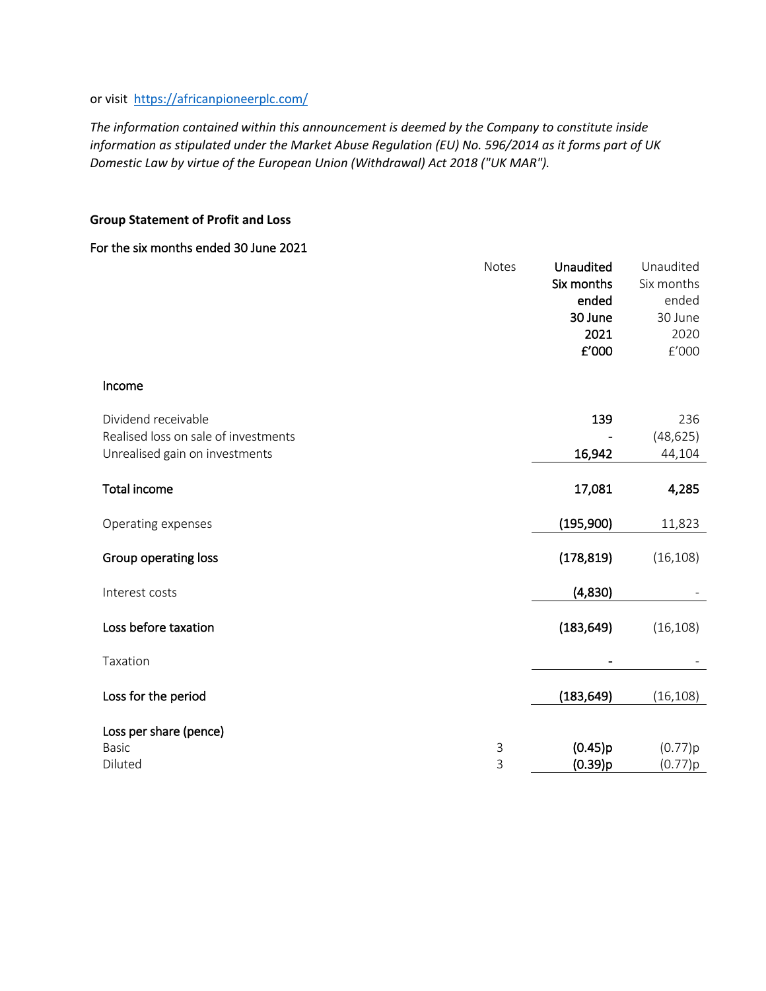# or visit https://africanpioneerplc.com/

*The information contained within this announcement is deemed by the Company to constitute inside information as stipulated under the Market Abuse Regulation (EU) No. 596/2014 as it forms part of UK Domestic Law by virtue of the European Union (Withdrawal) Act 2018 ("UK MAR").*

# **Group Statement of Profit and Loss**

## For the six months ended 30 June 2021

|                                                             | Notes  | Unaudited<br>Six months<br>ended<br>30 June | Unaudited<br>Six months<br>ended<br>30 June |
|-------------------------------------------------------------|--------|---------------------------------------------|---------------------------------------------|
|                                                             |        | 2021                                        | 2020                                        |
|                                                             |        | £'000                                       | $\rm{f}^{\prime}000$                        |
| Income                                                      |        |                                             |                                             |
| Dividend receivable<br>Realised loss on sale of investments |        | 139                                         | 236<br>(48, 625)                            |
| Unrealised gain on investments                              |        | 16,942                                      | 44,104                                      |
| <b>Total income</b>                                         |        | 17,081                                      | 4,285                                       |
| Operating expenses                                          |        | (195,900)                                   | 11,823                                      |
| Group operating loss                                        |        | (178, 819)                                  | (16, 108)                                   |
| Interest costs                                              |        | (4,830)                                     |                                             |
| Loss before taxation                                        |        | (183, 649)                                  | (16, 108)                                   |
| Taxation                                                    |        |                                             |                                             |
| Loss for the period                                         |        | (183, 649)                                  | (16, 108)                                   |
| Loss per share (pence)                                      |        |                                             |                                             |
| <b>Basic</b><br>Diluted                                     | 3<br>3 | (0.45)p<br>(0.39)p                          | (0.77)p<br>(0.77)p                          |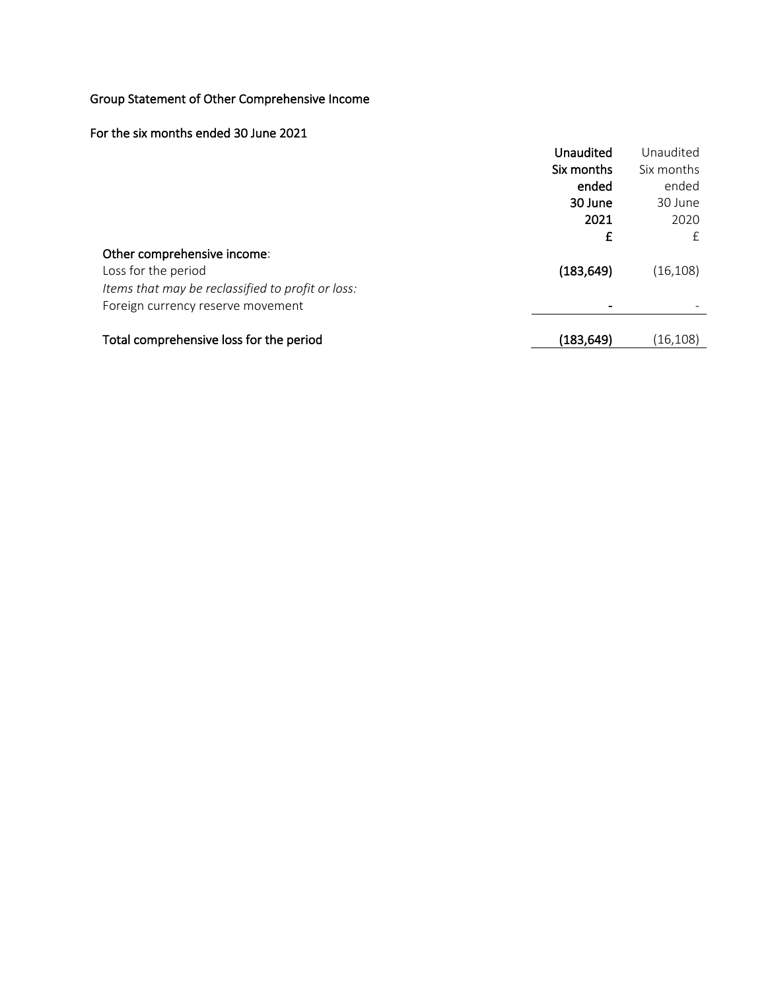# Group Statement of Other Comprehensive Income

# For the six months ended 30 June 2021

|                                                   | Unaudited  | Unaudited  |
|---------------------------------------------------|------------|------------|
|                                                   | Six months | Six months |
|                                                   | ended      | ended      |
|                                                   | 30 June    | 30 June    |
|                                                   | 2021       | 2020       |
|                                                   | £          | £          |
| Other comprehensive income:                       |            |            |
| Loss for the period                               | (183, 649) | (16, 108)  |
| Items that may be reclassified to profit or loss: |            |            |
| Foreign currency reserve movement                 |            |            |
|                                                   |            |            |
| Total comprehensive loss for the period           | (183, 649) | (16, 108)  |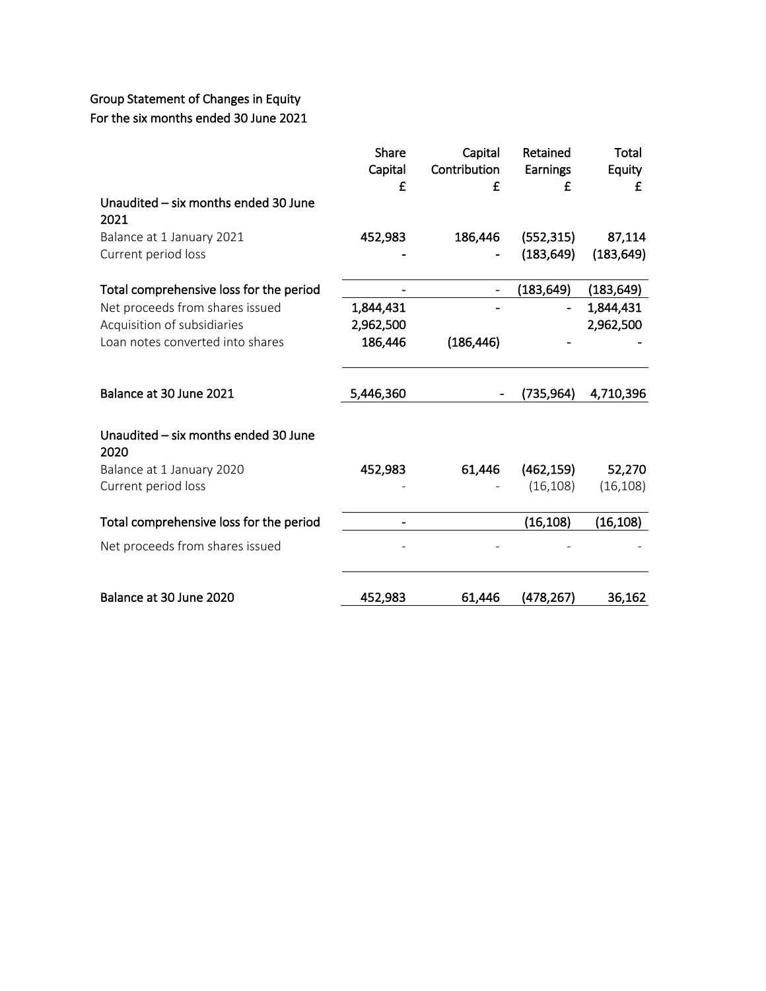# Group Statement of Changes in Equity For the six months ended 30 June 2021

|                                              | Share     | Capital      | Retained   | <b>Total</b> |
|----------------------------------------------|-----------|--------------|------------|--------------|
|                                              | Capital   | Contribution | Earnings   | Equity       |
|                                              | £         | £            | f          | £            |
| Unaudited - six months ended 30 June<br>2021 |           |              |            |              |
| Balance at 1 January 2021                    | 452,983   | 186,446      | (552, 315) | 87,114       |
| Current period loss                          |           |              | (183, 649) | (183, 649)   |
| Total comprehensive loss for the period      |           |              | (183, 649) | (183, 649)   |
| Net proceeds from shares issued              | 1,844,431 |              |            | 1,844,431    |
| Acquisition of subsidiaries                  | 2,962,500 |              |            | 2,962,500    |
| Loan notes converted into shares             | 186,446   | (186, 446)   |            |              |
| Balance at 30 June 2021                      | 5,446,360 |              | (735,964)  | 4,710,396    |
| Unaudited - six months ended 30 June<br>2020 |           |              |            |              |
| Balance at 1 January 2020                    | 452,983   | 61,446       | (462, 159) | 52,270       |
| Current period loss                          |           |              | (16, 108)  | (16, 108)    |
| Total comprehensive loss for the period      |           |              | (16, 108)  | (16, 108)    |
| Net proceeds from shares issued              |           |              |            |              |
| Balance at 30 June 2020                      | 452,983   | 61,446       | (478,267)  | 36,162       |
|                                              |           |              |            |              |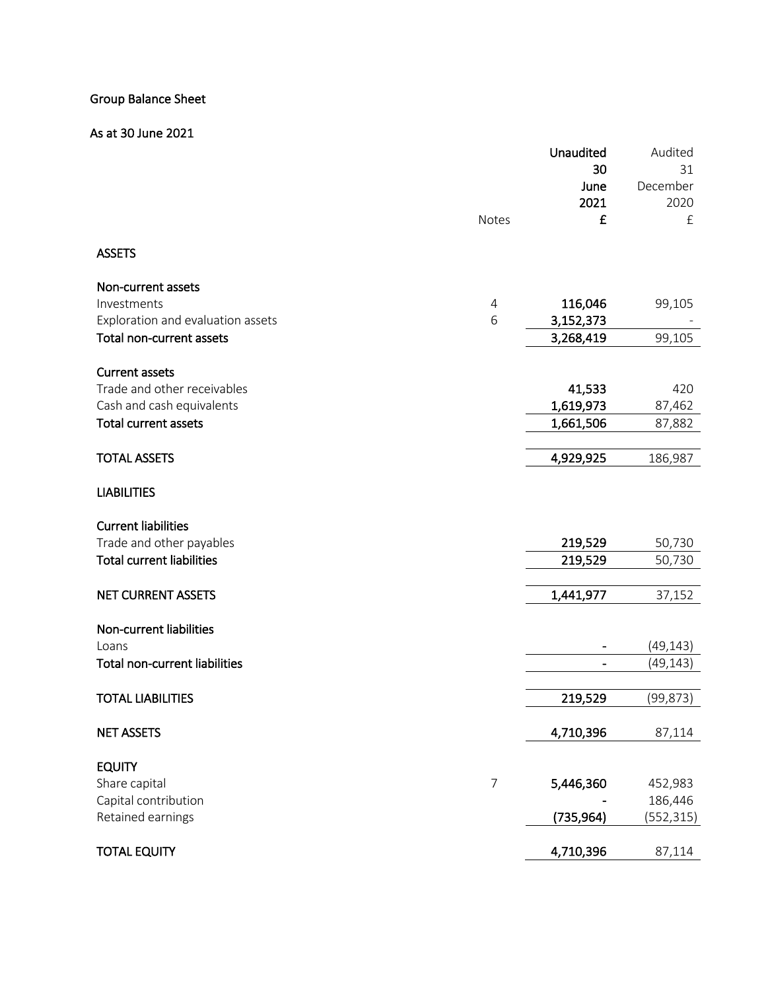# Group Balance Sheet

# As at 30 June 2021

|                                      |                | Unaudited  | Audited    |
|--------------------------------------|----------------|------------|------------|
|                                      |                | 30         | 31         |
|                                      |                | June       | December   |
|                                      |                | 2021       | 2020       |
|                                      | Notes          | £          | $\pounds$  |
| <b>ASSETS</b>                        |                |            |            |
| Non-current assets                   |                |            |            |
| Investments                          | 4              | 116,046    | 99,105     |
| Exploration and evaluation assets    | 6              | 3,152,373  |            |
| Total non-current assets             |                | 3,268,419  | 99,105     |
| <b>Current assets</b>                |                |            |            |
| Trade and other receivables          |                | 41,533     | 420        |
| Cash and cash equivalents            |                | 1,619,973  | 87,462     |
| <b>Total current assets</b>          |                | 1,661,506  | 87,882     |
|                                      |                |            |            |
| <b>TOTAL ASSETS</b>                  |                | 4,929,925  | 186,987    |
| <b>LIABILITIES</b>                   |                |            |            |
| <b>Current liabilities</b>           |                |            |            |
| Trade and other payables             |                | 219,529    | 50,730     |
| <b>Total current liabilities</b>     |                | 219,529    | 50,730     |
| NET CURRENT ASSETS                   |                | 1,441,977  | 37,152     |
| Non-current liabilities              |                |            |            |
| Loans                                |                |            | (49, 143)  |
| <b>Total non-current liabilities</b> |                |            | (49, 143)  |
| <b>TOTAL LIABILITIES</b>             |                | 219,529    | (99, 873)  |
| <b>NET ASSETS</b>                    |                | 4,710,396  | 87,114     |
| <b>EQUITY</b>                        |                |            |            |
| Share capital                        | $\overline{7}$ | 5,446,360  | 452,983    |
| Capital contribution                 |                |            | 186,446    |
| Retained earnings                    |                | (735, 964) | (552, 315) |
| <b>TOTAL EQUITY</b>                  |                | 4,710,396  | 87,114     |
|                                      |                |            |            |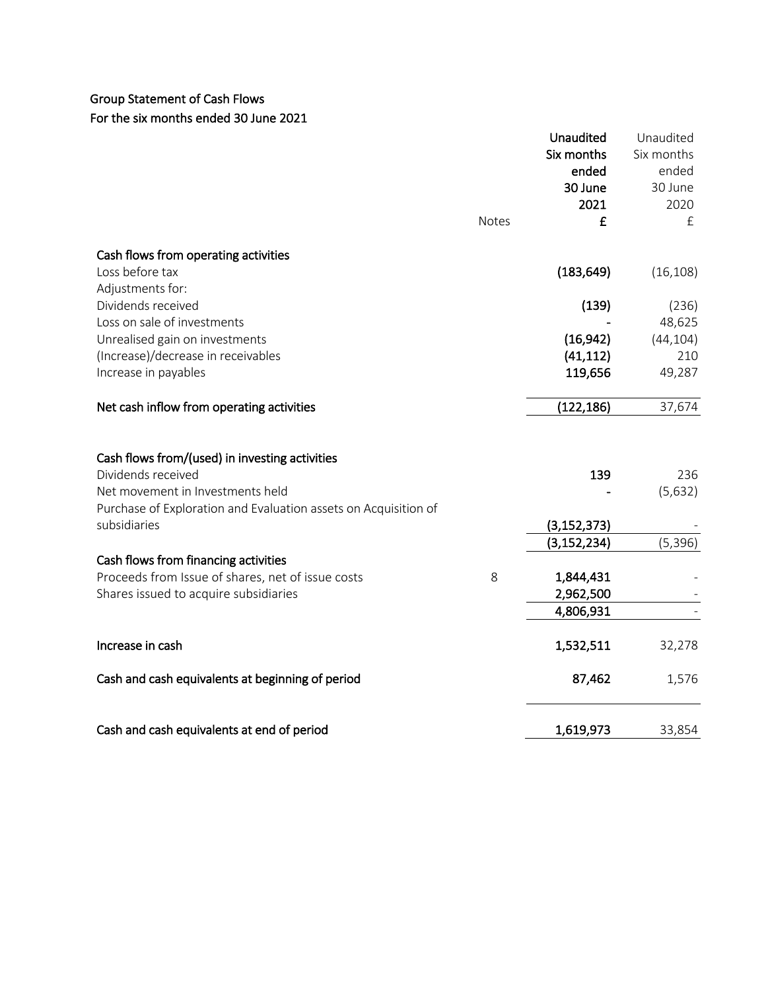# Group Statement of Cash Flows For the six months ended 30 June 2021

|                                                                 |              | Unaudited<br>Six months<br>ended<br>30 June<br>2021 | Unaudited<br>Six months<br>ended<br>30 June<br>2020 |
|-----------------------------------------------------------------|--------------|-----------------------------------------------------|-----------------------------------------------------|
|                                                                 | <b>Notes</b> | £                                                   | £                                                   |
| Cash flows from operating activities                            |              |                                                     |                                                     |
| Loss before tax                                                 |              | (183, 649)                                          | (16, 108)                                           |
| Adjustments for:                                                |              |                                                     |                                                     |
| Dividends received                                              |              | (139)                                               | (236)                                               |
| Loss on sale of investments                                     |              |                                                     | 48,625                                              |
| Unrealised gain on investments                                  |              | (16, 942)                                           | (44, 104)                                           |
| (Increase)/decrease in receivables                              |              | (41, 112)                                           | 210                                                 |
| Increase in payables                                            |              | 119,656                                             | 49,287                                              |
| Net cash inflow from operating activities                       |              | (122, 186)                                          | 37,674                                              |
| Cash flows from/(used) in investing activities                  |              |                                                     |                                                     |
| Dividends received                                              |              | 139                                                 | 236                                                 |
| Net movement in Investments held                                |              |                                                     | (5,632)                                             |
| Purchase of Exploration and Evaluation assets on Acquisition of |              |                                                     |                                                     |
| subsidiaries                                                    |              | (3, 152, 373)                                       |                                                     |
|                                                                 |              | (3, 152, 234)                                       | (5, 396)                                            |
| Cash flows from financing activities                            |              |                                                     |                                                     |
| Proceeds from Issue of shares, net of issue costs               | 8            | 1,844,431                                           |                                                     |
| Shares issued to acquire subsidiaries                           |              | 2,962,500                                           |                                                     |
|                                                                 |              | 4,806,931                                           |                                                     |
| Increase in cash                                                |              | 1,532,511                                           | 32,278                                              |
| Cash and cash equivalents at beginning of period                |              | 87,462                                              | 1,576                                               |
| Cash and cash equivalents at end of period                      |              | 1,619,973                                           | 33,854                                              |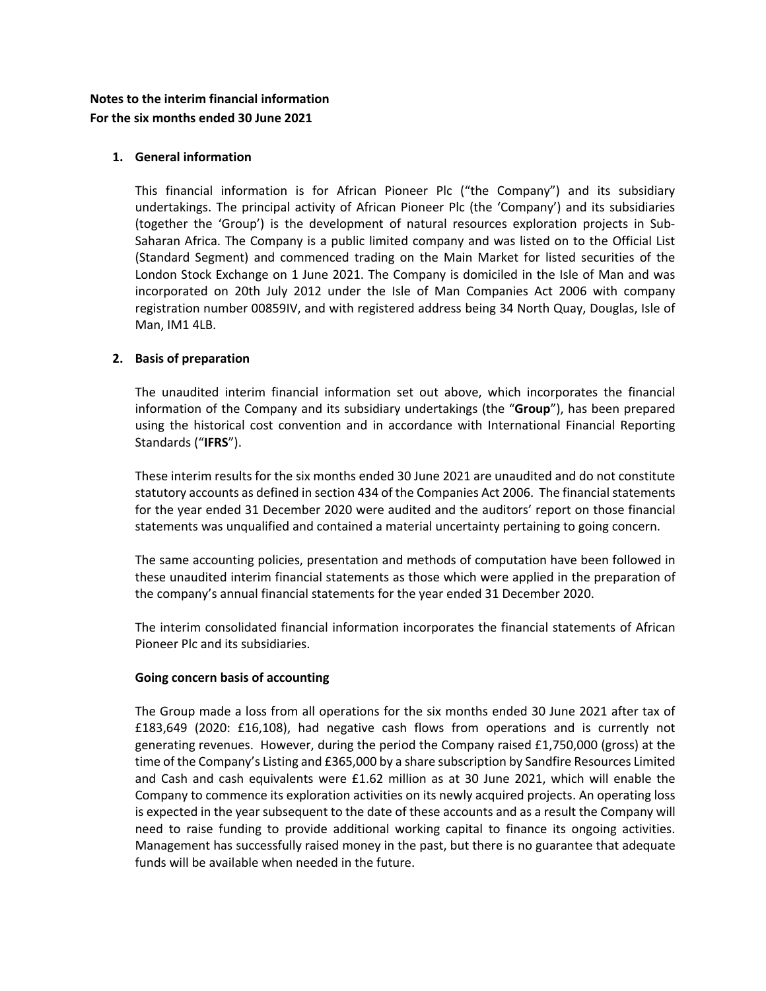# **Notes to the interim financial information For the six months ended 30 June 2021**

## **1. General information**

This financial information is for African Pioneer Plc ("the Company") and its subsidiary undertakings. The principal activity of African Pioneer Plc (the 'Company') and its subsidiaries (together the 'Group') is the development of natural resources exploration projects in Sub-Saharan Africa. The Company is a public limited company and was listed on to the Official List (Standard Segment) and commenced trading on the Main Market for listed securities of the London Stock Exchange on 1 June 2021. The Company is domiciled in the Isle of Man and was incorporated on 20th July 2012 under the Isle of Man Companies Act 2006 with company registration number 00859IV, and with registered address being 34 North Quay, Douglas, Isle of Man, IM1 4LB.

# **2. Basis of preparation**

The unaudited interim financial information set out above, which incorporates the financial information of the Company and its subsidiary undertakings (the "**Group**"), has been prepared using the historical cost convention and in accordance with International Financial Reporting Standards ("**IFRS**").

These interim results for the six months ended 30 June 2021 are unaudited and do not constitute statutory accounts as defined in section 434 of the Companies Act 2006. The financial statements for the year ended 31 December 2020 were audited and the auditors' report on those financial statements was unqualified and contained a material uncertainty pertaining to going concern.

The same accounting policies, presentation and methods of computation have been followed in these unaudited interim financial statements as those which were applied in the preparation of the company's annual financial statements for the year ended 31 December 2020.

The interim consolidated financial information incorporates the financial statements of African Pioneer Plc and its subsidiaries.

## **Going concern basis of accounting**

The Group made a loss from all operations for the six months ended 30 June 2021 after tax of £183,649 (2020: £16,108), had negative cash flows from operations and is currently not generating revenues. However, during the period the Company raised  $£1,750,000$  (gross) at the time of the Company's Listing and £365,000 by a share subscription by Sandfire Resources Limited and Cash and cash equivalents were £1.62 million as at 30 June 2021, which will enable the Company to commence its exploration activities on its newly acquired projects. An operating loss is expected in the year subsequent to the date of these accounts and as a result the Company will need to raise funding to provide additional working capital to finance its ongoing activities. Management has successfully raised money in the past, but there is no guarantee that adequate funds will be available when needed in the future.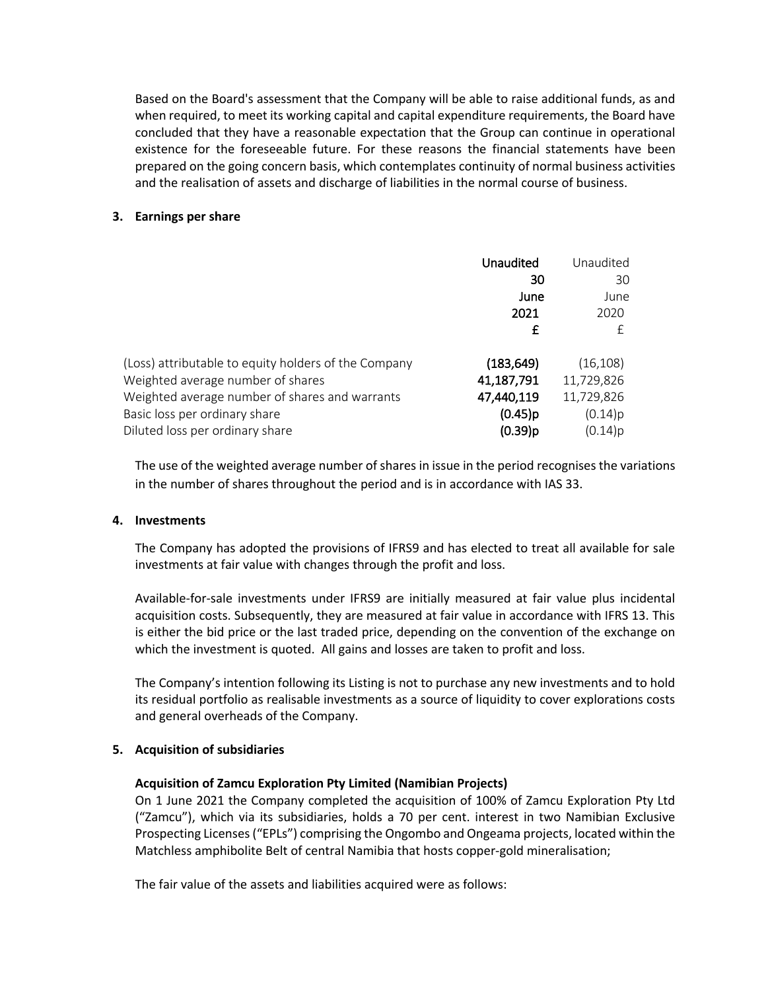Based on the Board's assessment that the Company will be able to raise additional funds, as and when required, to meet its working capital and capital expenditure requirements, the Board have concluded that they have a reasonable expectation that the Group can continue in operational existence for the foreseeable future. For these reasons the financial statements have been prepared on the going concern basis, which contemplates continuity of normal business activities and the realisation of assets and discharge of liabilities in the normal course of business.

### **3. Earnings per share**

|                                                      | Unaudited  | Unaudited  |
|------------------------------------------------------|------------|------------|
|                                                      | 30         | 30         |
|                                                      | June       | June       |
|                                                      | 2021       | 2020       |
|                                                      | £          | £          |
| (Loss) attributable to equity holders of the Company | (183, 649) | (16, 108)  |
| Weighted average number of shares                    | 41,187,791 | 11,729,826 |
| Weighted average number of shares and warrants       | 47,440,119 | 11,729,826 |
| Basic loss per ordinary share                        | $(0.45)$ p | (0.14)p    |
| Diluted loss per ordinary share                      | $(0.39)$ p | (0.14)p    |

The use of the weighted average number of shares in issue in the period recognises the variations in the number of shares throughout the period and is in accordance with IAS 33.

### **4. Investments**

The Company has adopted the provisions of IFRS9 and has elected to treat all available for sale investments at fair value with changes through the profit and loss.

Available-for-sale investments under IFRS9 are initially measured at fair value plus incidental acquisition costs. Subsequently, they are measured at fair value in accordance with IFRS 13. This is either the bid price or the last traded price, depending on the convention of the exchange on which the investment is quoted. All gains and losses are taken to profit and loss.

The Company's intention following its Listing is not to purchase any new investments and to hold its residual portfolio as realisable investments as a source of liquidity to cover explorations costs and general overheads of the Company.

## **5. Acquisition of subsidiaries**

## **Acquisition of Zamcu Exploration Pty Limited (Namibian Projects)**

On 1 June 2021 the Company completed the acquisition of 100% of Zamcu Exploration Pty Ltd ("Zamcu"), which via its subsidiaries, holds a 70 per cent. interest in two Namibian Exclusive Prospecting Licenses ("EPLs") comprising the Ongombo and Ongeama projects, located within the Matchless amphibolite Belt of central Namibia that hosts copper-gold mineralisation;

The fair value of the assets and liabilities acquired were as follows: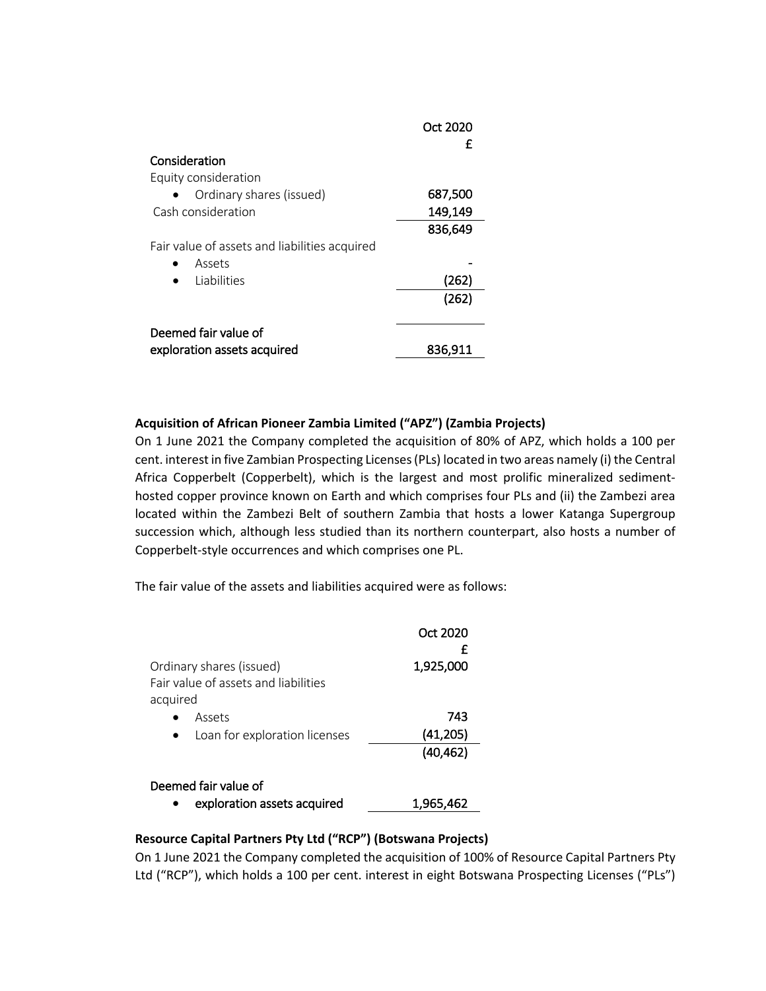|                                               | Oct 2020<br>£ |
|-----------------------------------------------|---------------|
| Consideration                                 |               |
| Equity consideration                          |               |
| Ordinary shares (issued)                      | 687,500       |
| Cash consideration                            | 149,149       |
|                                               | 836,649       |
| Fair value of assets and liabilities acquired |               |
| Assets                                        |               |
| <b>Liabilities</b>                            | (262)         |
|                                               | (262)         |
| Deemed fair value of                          |               |
| exploration assets acquired                   | 836,911       |

## **Acquisition of African Pioneer Zambia Limited ("APZ") (Zambia Projects)**

On 1 June 2021 the Company completed the acquisition of 80% of APZ, which holds a 100 per cent. interest in five Zambian Prospecting Licenses (PLs) located in two areas namely (i) the Central Africa Copperbelt (Copperbelt), which is the largest and most prolific mineralized sedimenthosted copper province known on Earth and which comprises four PLs and (ii) the Zambezi area located within the Zambezi Belt of southern Zambia that hosts a lower Katanga Supergroup succession which, although less studied than its northern counterpart, also hosts a number of Copperbelt-style occurrences and which comprises one PL.

The fair value of the assets and liabilities acquired were as follows:

|                                                                              | Oct 2020<br>£ |  |  |
|------------------------------------------------------------------------------|---------------|--|--|
| Ordinary shares (issued)<br>Fair value of assets and liabilities<br>acquired | 1,925,000     |  |  |
| Assets                                                                       | 743           |  |  |
| Loan for exploration licenses                                                | (41,205)      |  |  |
|                                                                              | (40, 462)     |  |  |
| Deemed fair value of                                                         |               |  |  |
| exploration assets acquired                                                  | 1,965,462     |  |  |

## **Resource Capital Partners Pty Ltd ("RCP") (Botswana Projects)**

On 1 June 2021 the Company completed the acquisition of 100% of Resource Capital Partners Pty Ltd ("RCP"), which holds a 100 per cent. interest in eight Botswana Prospecting Licenses ("PLs")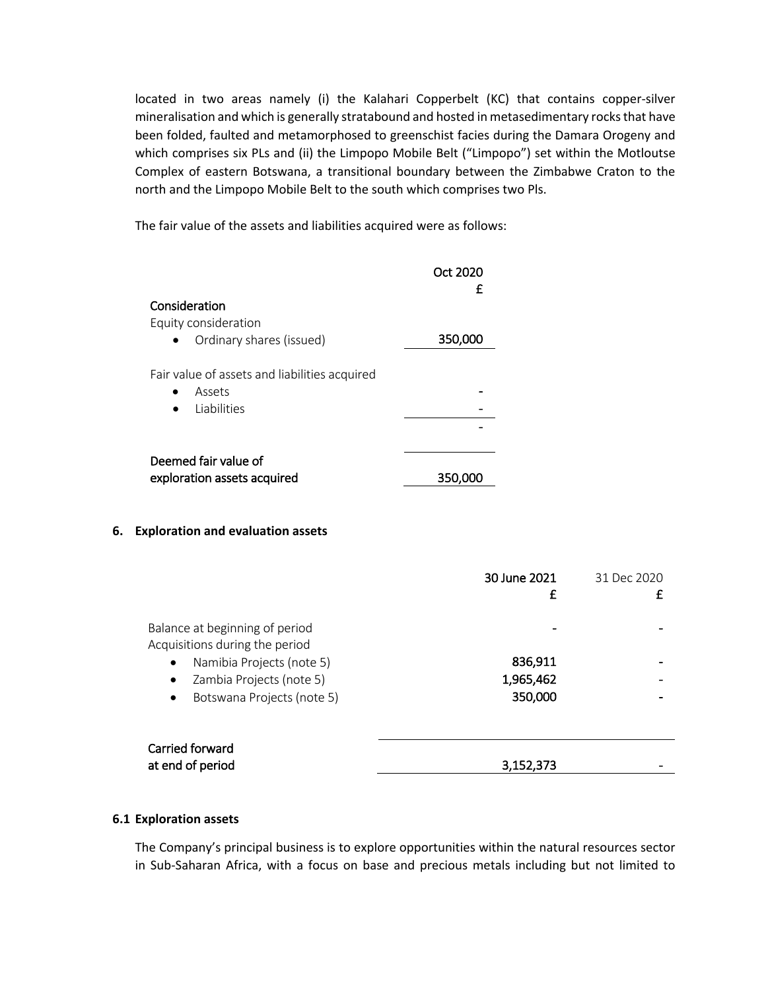located in two areas namely (i) the Kalahari Copperbelt (KC) that contains copper-silver mineralisation and which is generally stratabound and hosted in metasedimentary rocks that have been folded, faulted and metamorphosed to greenschist facies during the Damara Orogeny and which comprises six PLs and (ii) the Limpopo Mobile Belt ("Limpopo") set within the Motloutse Complex of eastern Botswana, a transitional boundary between the Zimbabwe Craton to the north and the Limpopo Mobile Belt to the south which comprises two Pls.

The fair value of the assets and liabilities acquired were as follows:

|                                               | Oct 2020<br>£ |
|-----------------------------------------------|---------------|
| Consideration                                 |               |
| Equity consideration                          |               |
| Ordinary shares (issued)                      | 350,000       |
| Fair value of assets and liabilities acquired |               |
| Assets                                        |               |
| <b>Liabilities</b>                            |               |
|                                               |               |
| Deemed fair value of                          |               |
| exploration assets acquired                   | 350,000       |
|                                               |               |

### **6. Exploration and evaluation assets**

|                                                                          | 30 June 2021<br>£ | 31 Dec 2020 |
|--------------------------------------------------------------------------|-------------------|-------------|
| Balance at beginning of period                                           |                   |             |
| Acquisitions during the period<br>Namibia Projects (note 5)<br>$\bullet$ | 836,911           |             |
| Zambia Projects (note 5)<br>$\bullet$                                    | 1,965,462         |             |
| Botswana Projects (note 5)<br>$\bullet$                                  | 350,000           |             |
|                                                                          |                   |             |
| Carried forward                                                          |                   |             |
| at end of period                                                         | 3,152,373         |             |

### **6.1 Exploration assets**

The Company's principal business is to explore opportunities within the natural resources sector in Sub-Saharan Africa, with a focus on base and precious metals including but not limited to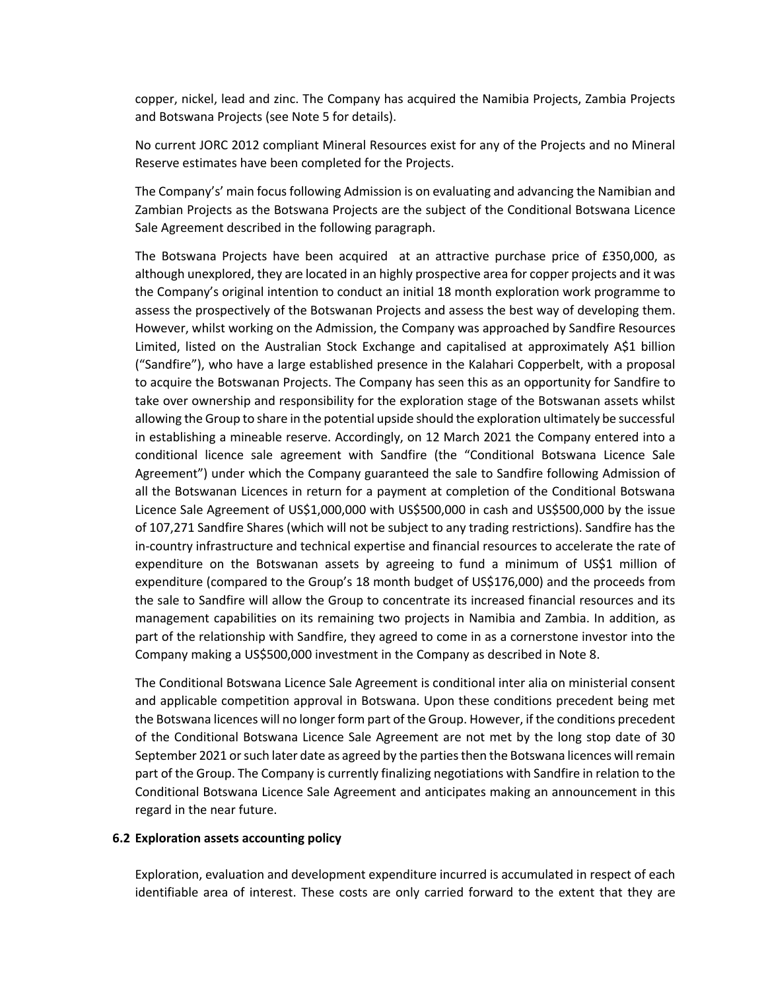copper, nickel, lead and zinc. The Company has acquired the Namibia Projects, Zambia Projects and Botswana Projects (see Note 5 for details).

No current JORC 2012 compliant Mineral Resources exist for any of the Projects and no Mineral Reserve estimates have been completed for the Projects.

The Company's' main focus following Admission is on evaluating and advancing the Namibian and Zambian Projects as the Botswana Projects are the subject of the Conditional Botswana Licence Sale Agreement described in the following paragraph.

The Botswana Projects have been acquired at an attractive purchase price of £350,000, as although unexplored, they are located in an highly prospective area for copper projects and it was the Company's original intention to conduct an initial 18 month exploration work programme to assess the prospectively of the Botswanan Projects and assess the best way of developing them. However, whilst working on the Admission, the Company was approached by Sandfire Resources Limited, listed on the Australian Stock Exchange and capitalised at approximately A\$1 billion ("Sandfire"), who have a large established presence in the Kalahari Copperbelt, with a proposal to acquire the Botswanan Projects. The Company has seen this as an opportunity for Sandfire to take over ownership and responsibility for the exploration stage of the Botswanan assets whilst allowing the Group to share in the potential upside should the exploration ultimately be successful in establishing a mineable reserve. Accordingly, on 12 March 2021 the Company entered into a conditional licence sale agreement with Sandfire (the "Conditional Botswana Licence Sale Agreement") under which the Company guaranteed the sale to Sandfire following Admission of all the Botswanan Licences in return for a payment at completion of the Conditional Botswana Licence Sale Agreement of US\$1,000,000 with US\$500,000 in cash and US\$500,000 by the issue of 107,271 Sandfire Shares (which will not be subject to any trading restrictions). Sandfire has the in-country infrastructure and technical expertise and financial resources to accelerate the rate of expenditure on the Botswanan assets by agreeing to fund a minimum of US\$1 million of expenditure (compared to the Group's 18 month budget of US\$176,000) and the proceeds from the sale to Sandfire will allow the Group to concentrate its increased financial resources and its management capabilities on its remaining two projects in Namibia and Zambia. In addition, as part of the relationship with Sandfire, they agreed to come in as a cornerstone investor into the Company making a US\$500,000 investment in the Company as described in Note 8.

The Conditional Botswana Licence Sale Agreement is conditional inter alia on ministerial consent and applicable competition approval in Botswana. Upon these conditions precedent being met the Botswana licences will no longer form part of the Group. However, if the conditions precedent of the Conditional Botswana Licence Sale Agreement are not met by the long stop date of 30 September 2021 or such later date as agreed by the parties then the Botswana licences will remain part of the Group. The Company is currently finalizing negotiations with Sandfire in relation to the Conditional Botswana Licence Sale Agreement and anticipates making an announcement in this regard in the near future.

### **6.2 Exploration assets accounting policy**

Exploration, evaluation and development expenditure incurred is accumulated in respect of each identifiable area of interest. These costs are only carried forward to the extent that they are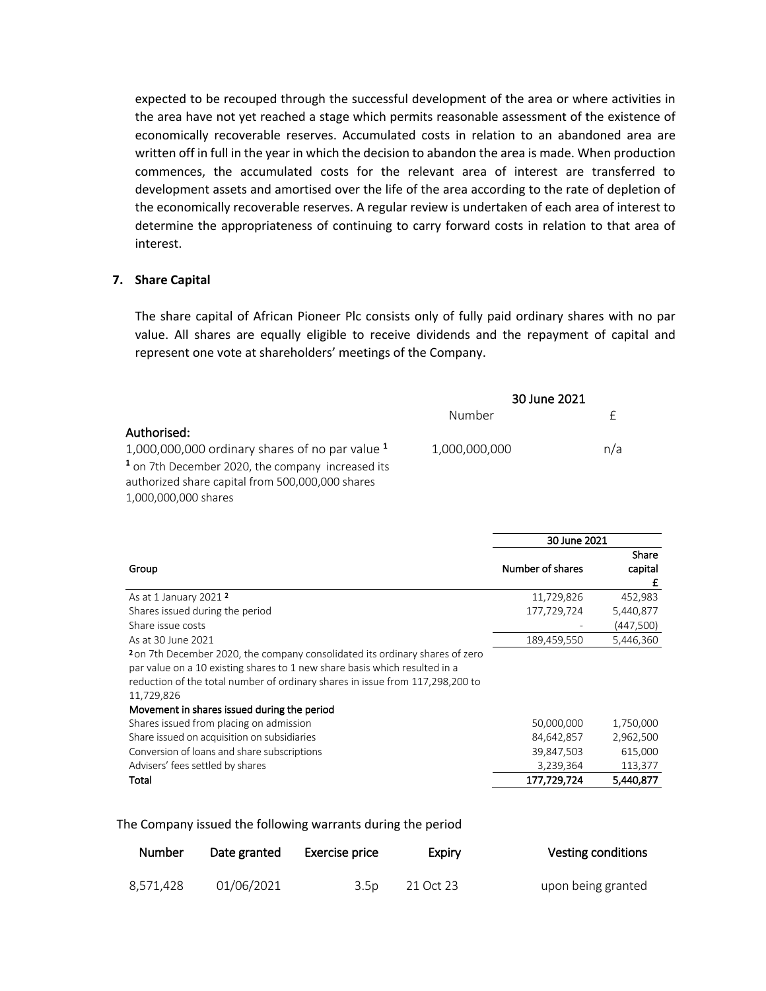expected to be recouped through the successful development of the area or where activities in the area have not yet reached a stage which permits reasonable assessment of the existence of economically recoverable reserves. Accumulated costs in relation to an abandoned area are written off in full in the year in which the decision to abandon the area is made. When production commences, the accumulated costs for the relevant area of interest are transferred to development assets and amortised over the life of the area according to the rate of depletion of the economically recoverable reserves. A regular review is undertaken of each area of interest to determine the appropriateness of continuing to carry forward costs in relation to that area of interest.

### **7. Share Capital**

The share capital of African Pioneer Plc consists only of fully paid ordinary shares with no par value. All shares are equally eligible to receive dividends and the repayment of capital and represent one vote at shareholders' meetings of the Company.

|                                                              | 30 June 2021  |     |
|--------------------------------------------------------------|---------------|-----|
|                                                              | Number        |     |
| Authorised:                                                  |               |     |
| 1,000,000,000 ordinary shares of no par value $1$            | 1,000,000,000 | n/a |
| <sup>1</sup> on 7th December 2020, the company increased its |               |     |
| authorized share capital from 500,000,000 shares             |               |     |
| 1,000,000,000 shares                                         |               |     |

|                                                                                                                                                                                                                                                                                                          | 30 June 2021     |                       |
|----------------------------------------------------------------------------------------------------------------------------------------------------------------------------------------------------------------------------------------------------------------------------------------------------------|------------------|-----------------------|
| Group                                                                                                                                                                                                                                                                                                    | Number of shares | Share<br>capital<br>£ |
| As at 1 January 2021 <sup>2</sup>                                                                                                                                                                                                                                                                        | 11,729,826       | 452,983               |
| Shares issued during the period                                                                                                                                                                                                                                                                          | 177,729,724      | 5,440,877             |
| Share issue costs                                                                                                                                                                                                                                                                                        |                  | (447,500)             |
| As at 30 June 2021                                                                                                                                                                                                                                                                                       | 189,459,550      | 5,446,360             |
| 2 on 7th December 2020, the company consolidated its ordinary shares of zero<br>par value on a 10 existing shares to 1 new share basis which resulted in a<br>reduction of the total number of ordinary shares in issue from 117,298,200 to<br>11,729,826<br>Movement in shares issued during the period |                  |                       |
| Shares issued from placing on admission                                                                                                                                                                                                                                                                  | 50,000,000       | 1,750,000             |
| Share issued on acquisition on subsidiaries                                                                                                                                                                                                                                                              | 84,642,857       | 2,962,500             |
| Conversion of loans and share subscriptions                                                                                                                                                                                                                                                              | 39,847,503       | 615,000               |
| Advisers' fees settled by shares                                                                                                                                                                                                                                                                         | 3,239,364        | 113,377               |
| Total                                                                                                                                                                                                                                                                                                    | 177,729,724      | 5,440,877             |

The Company issued the following warrants during the period

| Number    | Date granted | Exercise price   | Expiry    | <b>Vesting conditions</b> |
|-----------|--------------|------------------|-----------|---------------------------|
| 8,571,428 | 01/06/2021   | 3.5 <sub>D</sub> | 21 Oct 23 | upon being granted        |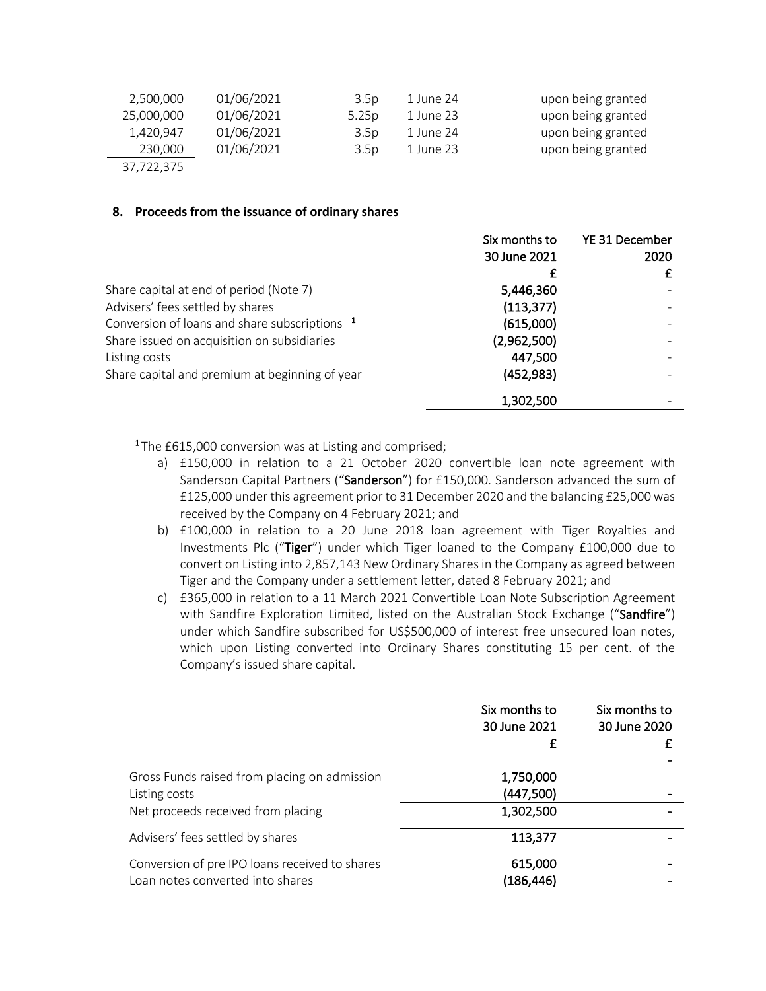| 2,500,000  | 01/06/2021 | 3.5 <sub>D</sub>  | 1 June 24 | upon being granted |
|------------|------------|-------------------|-----------|--------------------|
| 25,000,000 | 01/06/2021 | 5.25 <sub>D</sub> | 1 June 23 | upon being granted |
| 1,420,947  | 01/06/2021 | 3.5 <sub>D</sub>  | 1 June 24 | upon being granted |
| 230,000    | 01/06/2021 | 3.5 <sub>D</sub>  | 1 June 23 | upon being granted |
| 37,722,375 |            |                   |           |                    |

### **8. Proceeds from the issuance of ordinary shares**

|                                                          | Six months to | YE 31 December |
|----------------------------------------------------------|---------------|----------------|
|                                                          | 30 June 2021  | 2020           |
|                                                          |               |                |
| Share capital at end of period (Note 7)                  | 5,446,360     |                |
| Advisers' fees settled by shares                         | (113, 377)    |                |
| Conversion of loans and share subscriptions <sup>1</sup> | (615,000)     |                |
| Share issued on acquisition on subsidiaries              | (2,962,500)   |                |
| Listing costs                                            | 447,500       |                |
| Share capital and premium at beginning of year           | (452,983)     |                |
|                                                          | 1,302,500     |                |

<sup>1</sup>The £615,000 conversion was at Listing and comprised;

- a) £150,000 in relation to a 21 October 2020 convertible loan note agreement with Sanderson Capital Partners ("Sanderson") for £150,000. Sanderson advanced the sum of £125,000 under this agreement prior to 31 December 2020 and the balancing £25,000 was received by the Company on 4 February 2021; and
- b) £100,000 in relation to a 20 June 2018 loan agreement with Tiger Royalties and Investments Plc ("Tiger") under which Tiger loaned to the Company £100,000 due to convert on Listing into 2,857,143 New Ordinary Shares in the Company as agreed between Tiger and the Company under a settlement letter, dated 8 February 2021; and
- c) £365,000 in relation to a 11 March 2021 Convertible Loan Note Subscription Agreement with Sandfire Exploration Limited, listed on the Australian Stock Exchange ("Sandfire") under which Sandfire subscribed for US\$500,000 of interest free unsecured loan notes, which upon Listing converted into Ordinary Shares constituting 15 per cent. of the Company's issued share capital.

|                                                                                                     | Six months to<br>30 June 2021<br>£  | Six months to<br>30 June 2020 |
|-----------------------------------------------------------------------------------------------------|-------------------------------------|-------------------------------|
| Gross Funds raised from placing on admission<br>Listing costs<br>Net proceeds received from placing | 1,750,000<br>(447,500)<br>1,302,500 |                               |
| Advisers' fees settled by shares                                                                    | 113,377                             |                               |
| Conversion of pre IPO loans received to shares<br>Loan notes converted into shares                  | 615,000<br>(186,446)                |                               |